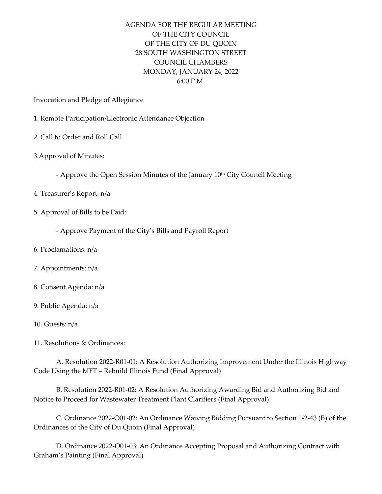## AGENDA FOR THE REGULAR MEETING OF THE CITY COUNCIL OF THE CITY OF DU QUOIN 28 SOUTH WASHINGTON STREET COUNCIL CHAMBERS MONDAY, JANUARY 24, 2022  $6:00 \text{ P.M.}$

Invocation and Pledge of Allegiance

- 1. Remote Participation/Electronic Attendance Objection
- 2. Call to Order and Roll Call
- 3.Approval of Minutes:
	- Approve the Open Session Minutes of the January 10<sup>th</sup> City Council Meeting
- 4. Treasurer's Report: n/a
- 5. Approval of Bills to be Paid:
	- Approve Payment of the City's Bills and Payroll Report
- 6. Proclamations: n/a
- 7. Appointments: n/a
- 8. Consent Agenda: n/a
- 9. Public Agenda: n/a
- 10. Guests: n/a
- 11. Resolutions & Ordinances:

A. Resolution 2022-R01-01: A Resolution Authorizing Improvement Under the Illinois Highway Code Using the MFT – Rebuild Illinois Fund (Final Approval)

B. Resolution 2022-R01-02: A Resolution Authorizing Awarding Bid and Authorizing Bid and Notice to Proceed for Wastewater Treatment Plant Clarifiers (Final Approval)

C. Ordinance 2022-O01-02: An Ordinance Waiving Bidding Pursuant to Section 1-2-43 (B) of the Ordinances of the City of Du Quoin (Final Approval)

D. Ordinance 2022-O01-03: An Ordinance Accepting Proposal and Authorizing Contract with Graham's Painting (Final Approval)